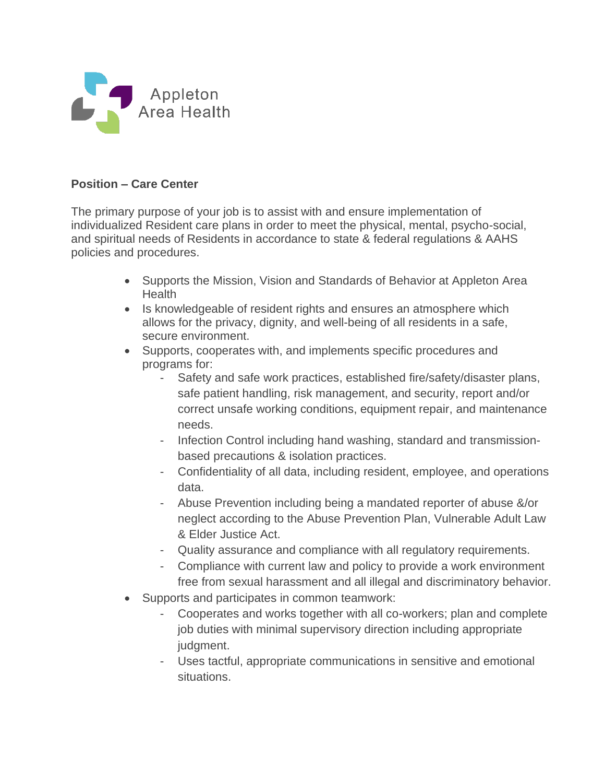

## **Position – Care Center**

The primary purpose of your job is to assist with and ensure implementation of individualized Resident care plans in order to meet the physical, mental, psycho-social, and spiritual needs of Residents in accordance to state & federal regulations & AAHS policies and procedures.

- Supports the Mission, Vision and Standards of Behavior at Appleton Area Health
- Is knowledgeable of resident rights and ensures an atmosphere which allows for the privacy, dignity, and well-being of all residents in a safe, secure environment.
- Supports, cooperates with, and implements specific procedures and programs for:
	- Safety and safe work practices, established fire/safety/disaster plans, safe patient handling, risk management, and security, report and/or correct unsafe working conditions, equipment repair, and maintenance needs.
	- Infection Control including hand washing, standard and transmissionbased precautions & isolation practices.
	- Confidentiality of all data, including resident, employee, and operations data.
	- Abuse Prevention including being a mandated reporter of abuse &/or neglect according to the Abuse Prevention Plan, Vulnerable Adult Law & Elder Justice Act.
	- Quality assurance and compliance with all regulatory requirements.
	- Compliance with current law and policy to provide a work environment free from sexual harassment and all illegal and discriminatory behavior.
- Supports and participates in common teamwork:
	- Cooperates and works together with all co-workers; plan and complete job duties with minimal supervisory direction including appropriate judgment.
	- Uses tactful, appropriate communications in sensitive and emotional situations.